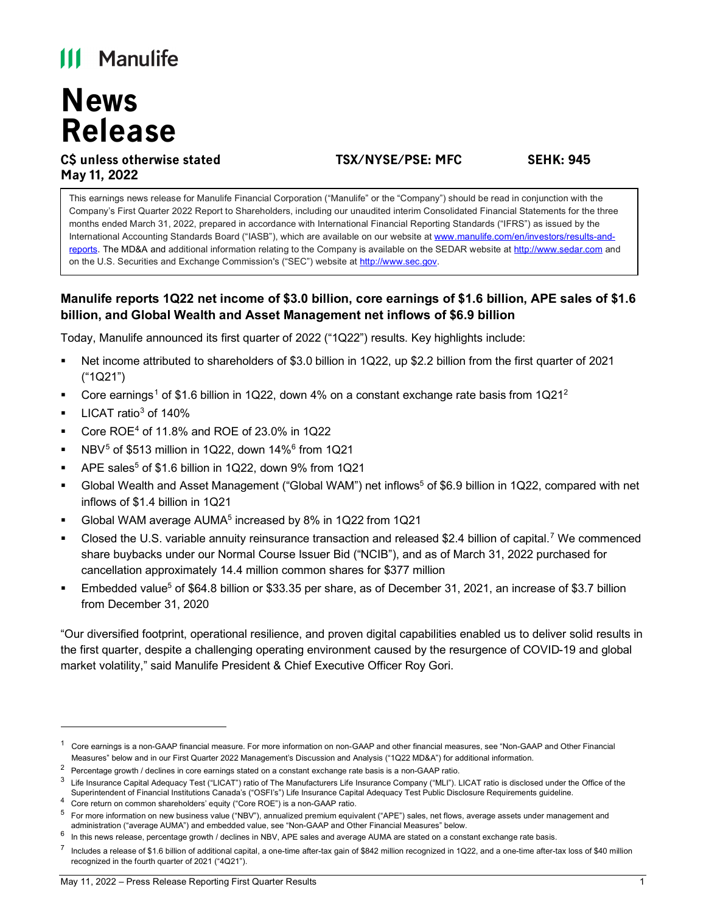# **III** Manulife

# **News Release**

# **C\$ unless otherwise stated TSX/NYSE/PSE: MFC SEHK: 945 May 11, 2022**

This earnings news release for Manulife Financial Corporation ("Manulife" or the "Company") should be read in conjunction with the Company's First Quarter 2022 Report to Shareholders, including our unaudited interim Consolidated Financial Statements for the three months ended March 31, 2022, prepared in accordance with International Financial Reporting Standards ("IFRS") as issued by the International Accounting Standards Board ("IASB"), which are available on our website at [www.manulife.com/en/investors/results-and](https://www.manulife.com/en/investors/results-and-reports.html)[reports.](https://www.manulife.com/en/investors/results-and-reports.html) The MD&A and additional information relating to the Company is available on the SEDAR website at [http://www.sedar.com](http://www.sedar.com/) and on the U.S. Securities and Exchange Commission's ("SEC") website at [http://www.sec.gov.](http://www.sec.gov/)

# **Manulife reports 1Q22 net income of \$3.0 billion, core earnings of \$1.6 billion, APE sales of \$1.6 billion, and Global Wealth and Asset Management net inflows of \$6.9 billion**

Today, Manulife announced its first quarter of 2022 ("1Q22") results. Key highlights include:

- Net income attributed to shareholders of \$3.0 billion in 1Q22, up \$2.2 billion from the first quarter of 2021 ("1Q21")
- Core earnings<sup>[1](#page-0-0)</sup> of \$1.6 billion in 1Q[2](#page-0-1)2, down 4% on a constant exchange rate basis from  $1Q21<sup>2</sup>$
- LICAT ratio $3$  of 140%
- Core ROE[4](#page-0-3) of 11.8% and ROE of 23.0% in 1Q22
- NBV<sup>[5](#page-0-4)</sup> of \$513 million in 1Q22, down 14%<sup>[6](#page-0-5)</sup> from 1Q21
- APE sales<sup>5</sup> of \$1.6 billion in 1Q22, down 9% from 1Q21
- Global Wealth and Asset Management ("Global WAM") net inflows<sup>5</sup> of \$6.9 billion in 1Q22, compared with net inflows of \$1.4 billion in 1Q21
- Global WAM average AUMA5 increased by 8% in 1Q22 from 1Q21
- Closed the U.S. variable annuity reinsurance transaction and released \$2.4 billion of capital.[7](#page-0-6) We commenced share buybacks under our Normal Course Issuer Bid ("NCIB"), and as of March 31, 2022 purchased for cancellation approximately 14.4 million common shares for \$377 million
- Embedded value<sup>5</sup> of \$64.8 billion or \$33.35 per share, as of December 31, 2021, an increase of \$3.7 billion from December 31, 2020

"Our diversified footprint, operational resilience, and proven digital capabilities enabled us to deliver solid results in the first quarter, despite a challenging operating environment caused by the resurgence of COVID-19 and global market volatility," said Manulife President & Chief Executive Officer Roy Gori.

<span id="page-0-0"></span> $^{\rm 1}~$  Core earnings is a non-GAAP financial measure. For more information on non-GAAP and other financial measures, see "Non-GAAP and Other Financial Measures" below and in our First Quarter 2022 Management's Discussion and Analysis ("1Q22 MD&A") for additional information.

<span id="page-0-1"></span><sup>2</sup> Percentage growth / declines in core earnings stated on a constant exchange rate basis is a non-GAAP ratio.

<span id="page-0-2"></span> $3$  Life Insurance Capital Adequacy Test ("LICAT") ratio of The Manufacturers Life Insurance Company ("MLI"). LICAT ratio is disclosed under the Office of the Superintendent of Financial Institutions Canada's ("OSFI's") Life Insurance Capital Adequacy Test Public Disclosure Requirements guideline.

<span id="page-0-3"></span><sup>4</sup> Core return on common shareholders' equity ("Core ROE") is a non-GAAP ratio.

<span id="page-0-4"></span><sup>5</sup> For more information on new business value ("NBV"), annualized premium equivalent ("APE") sales, net flows, average assets under management and administration ("average AUMA") and embedded value, see "Non-GAAP and Other Financial Measures" below.

<span id="page-0-5"></span><sup>6</sup> In this news release, percentage growth / declines in NBV, APE sales and average AUMA are stated on a constant exchange rate basis.

<span id="page-0-6"></span> $^7$  Includes a release of \$1.6 billion of additional capital, a one-time after-tax gain of \$842 million recognized in 1Q22, and a one-time after-tax loss of \$40 million recognized in the fourth quarter of 2021 ("4Q21").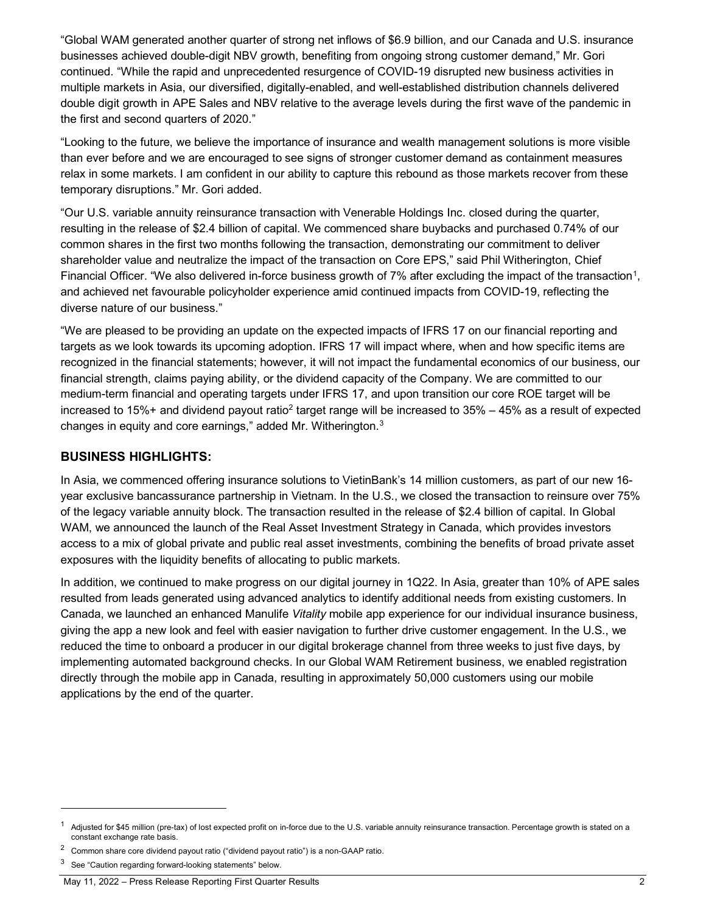"Global WAM generated another quarter of strong net inflows of \$6.9 billion, and our Canada and U.S. insurance businesses achieved double-digit NBV growth, benefiting from ongoing strong customer demand," Mr. Gori continued. "While the rapid and unprecedented resurgence of COVID-19 disrupted new business activities in multiple markets in Asia, our diversified, digitally-enabled, and well-established distribution channels delivered double digit growth in APE Sales and NBV relative to the average levels during the first wave of the pandemic in the first and second quarters of 2020."

"Looking to the future, we believe the importance of insurance and wealth management solutions is more visible than ever before and we are encouraged to see signs of stronger customer demand as containment measures relax in some markets. I am confident in our ability to capture this rebound as those markets recover from these temporary disruptions." Mr. Gori added.

"Our U.S. variable annuity reinsurance transaction with Venerable Holdings Inc. closed during the quarter, resulting in the release of \$2.4 billion of capital. We commenced share buybacks and purchased 0.74% of our common shares in the first two months following the transaction, demonstrating our commitment to deliver shareholder value and neutralize the impact of the transaction on Core EPS," said Phil Witherington, Chief Financial Officer. "We also delivered in-force business growth of 7% after excluding the impact of the transaction<sup>1</sup>, and achieved net favourable policyholder experience amid continued impacts from COVID-19, reflecting the diverse nature of our business."

"We are pleased to be providing an update on the expected impacts of IFRS 17 on our financial reporting and targets as we look towards its upcoming adoption. IFRS 17 will impact where, when and how specific items are recognized in the financial statements; however, it will not impact the fundamental economics of our business, our financial strength, claims paying ability, or the dividend capacity of the Company. We are committed to our medium-term financial and operating targets under IFRS 17, and upon transition our core ROE target will be increased to 15%+ and dividend payout ratio<sup>[2](#page-1-1)</sup> target range will be increased to  $35% - 45%$  as a result of expected changes in equity and core earnings," added Mr. Witherington.<sup>[3](#page-1-2)</sup>

#### **BUSINESS HIGHLIGHTS:**

In Asia, we commenced offering insurance solutions to VietinBank's 14 million customers, as part of our new 16 year exclusive bancassurance partnership in Vietnam. In the U.S., we closed the transaction to reinsure over 75% of the legacy variable annuity block. The transaction resulted in the release of \$2.4 billion of capital. In Global WAM, we announced the launch of the Real Asset Investment Strategy in Canada, which provides investors access to a mix of global private and public real asset investments, combining the benefits of broad private asset exposures with the liquidity benefits of allocating to public markets.

In addition, we continued to make progress on our digital journey in 1Q22. In Asia, greater than 10% of APE sales resulted from leads generated using advanced analytics to identify additional needs from existing customers. In Canada, we launched an enhanced Manulife *Vitality* mobile app experience for our individual insurance business, giving the app a new look and feel with easier navigation to further drive customer engagement. In the U.S., we reduced the time to onboard a producer in our digital brokerage channel from three weeks to just five days, by implementing automated background checks. In our Global WAM Retirement business, we enabled registration directly through the mobile app in Canada, resulting in approximately 50,000 customers using our mobile applications by the end of the quarter.

<span id="page-1-0"></span>Adjusted for \$45 million (pre-tax) of lost expected profit on in-force due to the U.S. variable annuity reinsurance transaction. Percentage growth is stated on a constant exchange rate basis.

<span id="page-1-1"></span><sup>2</sup> Common share core dividend payout ratio ("dividend payout ratio") is a non-GAAP ratio.

<span id="page-1-2"></span><sup>3</sup> See "Caution regarding forward-looking statements" below.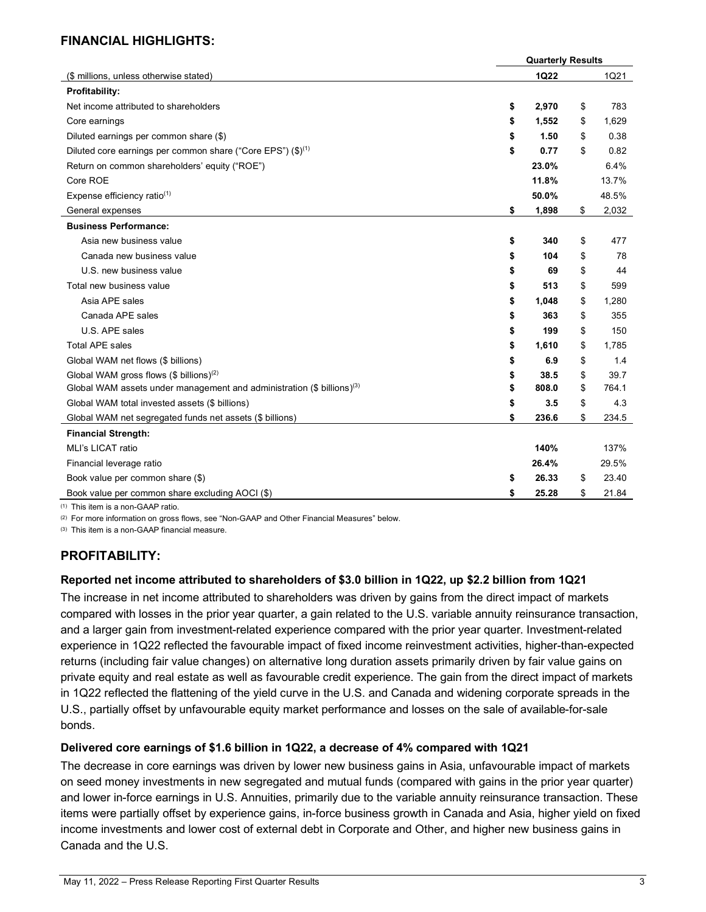#### **FINANCIAL HIGHLIGHTS:**

|                                                                                    | <b>Quarterly Results</b> |             |
|------------------------------------------------------------------------------------|--------------------------|-------------|
| (\$ millions, unless otherwise stated)                                             | <b>1Q22</b>              | 1Q21        |
| Profitability:                                                                     |                          |             |
| Net income attributed to shareholders                                              | \$<br>2,970              | \$<br>783   |
| Core earnings                                                                      | \$<br>1,552              | \$<br>1,629 |
| Diluted earnings per common share (\$)                                             | \$<br>1.50               | \$<br>0.38  |
| Diluted core earnings per common share ("Core EPS") $(\$)^{(1)}$                   | \$<br>0.77               | \$<br>0.82  |
| Return on common shareholders' equity ("ROE")                                      | 23.0%                    | 6.4%        |
| Core ROE                                                                           | 11.8%                    | 13.7%       |
| Expense efficiency ratio <sup>(1)</sup>                                            | 50.0%                    | 48.5%       |
| General expenses                                                                   | \$<br>1,898              | \$<br>2,032 |
| <b>Business Performance:</b>                                                       |                          |             |
| Asia new business value                                                            | \$<br>340                | \$<br>477   |
| Canada new business value                                                          | \$<br>104                | \$<br>78    |
| U.S. new business value                                                            | \$<br>69                 | \$<br>44    |
| Total new business value                                                           | \$<br>513                | \$<br>599   |
| Asia APE sales                                                                     | \$<br>1,048              | \$<br>1,280 |
| Canada APE sales                                                                   | \$<br>363                | \$<br>355   |
| U.S. APE sales                                                                     | \$<br>199                | \$<br>150   |
| <b>Total APE sales</b>                                                             | \$<br>1,610              | \$<br>1,785 |
| Global WAM net flows (\$ billions)                                                 | \$<br>6.9                | \$<br>1.4   |
| Global WAM gross flows $(\$~\text{billions})^{(2)}$                                | \$<br>38.5               | \$<br>39.7  |
| Global WAM assets under management and administration (\$ billions) <sup>(3)</sup> | \$<br>808.0              | \$<br>764.1 |
| Global WAM total invested assets (\$ billions)                                     | \$<br>3.5                | \$<br>4.3   |
| Global WAM net segregated funds net assets (\$ billions)                           | \$<br>236.6              | \$<br>234.5 |
| <b>Financial Strength:</b>                                                         |                          |             |
| MLI's LICAT ratio                                                                  | 140%                     | 137%        |
| Financial leverage ratio                                                           | 26.4%                    | 29.5%       |
| Book value per common share (\$)                                                   | \$<br>26.33              | \$<br>23.40 |
| Book value per common share excluding AOCI (\$)                                    | \$<br>25.28              | \$<br>21.84 |

(1) This item is a non-GAAP ratio.

(2) For more information on gross flows, see "Non-GAAP and Other Financial Measures" below.

(3) This item is a non-GAAP financial measure.

#### **PROFITABILITY:**

#### **Reported net income attributed to shareholders of \$3.0 billion in 1Q22, up \$2.2 billion from 1Q21**

The increase in net income attributed to shareholders was driven by gains from the direct impact of markets compared with losses in the prior year quarter, a gain related to the U.S. variable annuity reinsurance transaction, and a larger gain from investment-related experience compared with the prior year quarter. Investment-related experience in 1Q22 reflected the favourable impact of fixed income reinvestment activities, higher-than-expected returns (including fair value changes) on alternative long duration assets primarily driven by fair value gains on private equity and real estate as well as favourable credit experience. The gain from the direct impact of markets in 1Q22 reflected the flattening of the yield curve in the U.S. and Canada and widening corporate spreads in the U.S., partially offset by unfavourable equity market performance and losses on the sale of available-for-sale bonds.

#### **Delivered core earnings of \$1.6 billion in 1Q22, a decrease of 4% compared with 1Q21**

The decrease in core earnings was driven by lower new business gains in Asia, unfavourable impact of markets on seed money investments in new segregated and mutual funds (compared with gains in the prior year quarter) and lower in-force earnings in U.S. Annuities, primarily due to the variable annuity reinsurance transaction. These items were partially offset by experience gains, in-force business growth in Canada and Asia, higher yield on fixed income investments and lower cost of external debt in Corporate and Other, and higher new business gains in Canada and the U.S.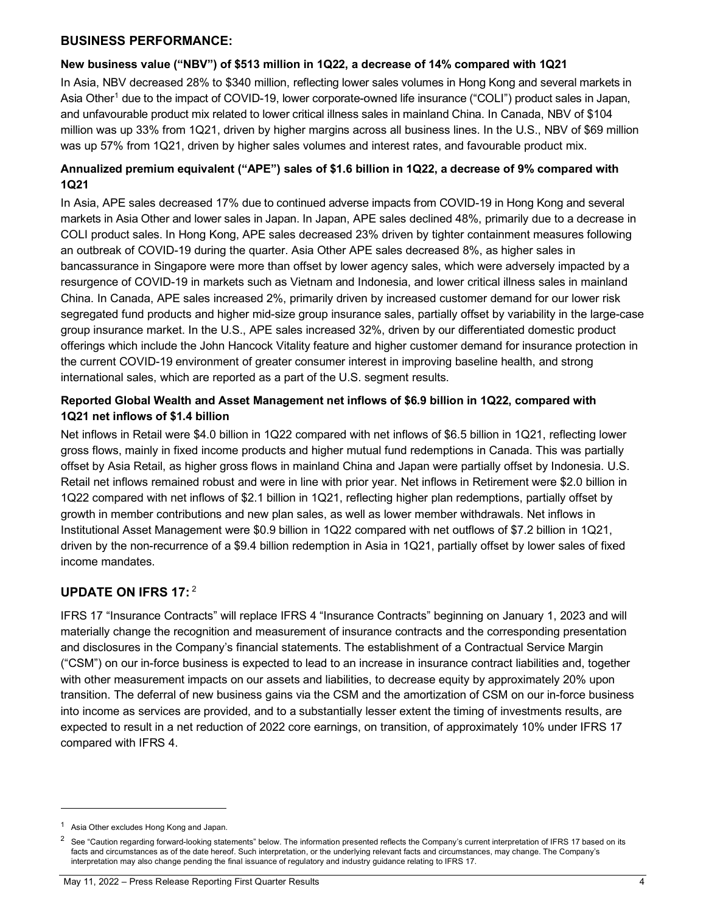#### **BUSINESS PERFORMANCE:**

#### **New business value ("NBV") of \$513 million in 1Q22, a decrease of 14% compared with 1Q21**

In Asia, NBV decreased 28% to \$340 million, reflecting lower sales volumes in Hong Kong and several markets in Asia Other<sup>1</sup> due to the impact of COVID-19, lower corporate-owned life insurance ("COLI") product sales in Japan, and unfavourable product mix related to lower critical illness sales in mainland China. In Canada, NBV of \$104 million was up 33% from 1Q21, driven by higher margins across all business lines. In the U.S., NBV of \$69 million was up 57% from 1Q21, driven by higher sales volumes and interest rates, and favourable product mix.

#### **Annualized premium equivalent ("APE") sales of \$1.6 billion in 1Q22, a decrease of 9% compared with 1Q21**

In Asia, APE sales decreased 17% due to continued adverse impacts from COVID-19 in Hong Kong and several markets in Asia Other and lower sales in Japan. In Japan, APE sales declined 48%, primarily due to a decrease in COLI product sales. In Hong Kong, APE sales decreased 23% driven by tighter containment measures following an outbreak of COVID-19 during the quarter. Asia Other APE sales decreased 8%, as higher sales in bancassurance in Singapore were more than offset by lower agency sales, which were adversely impacted by a resurgence of COVID-19 in markets such as Vietnam and Indonesia, and lower critical illness sales in mainland China. In Canada, APE sales increased 2%, primarily driven by increased customer demand for our lower risk segregated fund products and higher mid-size group insurance sales, partially offset by variability in the large-case group insurance market. In the U.S., APE sales increased 32%, driven by our differentiated domestic product offerings which include the John Hancock Vitality feature and higher customer demand for insurance protection in the current COVID-19 environment of greater consumer interest in improving baseline health, and strong international sales, which are reported as a part of the U.S. segment results.

#### **Reported Global Wealth and Asset Management net inflows of \$6.9 billion in 1Q22, compared with 1Q21 net inflows of \$1.4 billion**

Net inflows in Retail were \$4.0 billion in 1Q22 compared with net inflows of \$6.5 billion in 1Q21, reflecting lower gross flows, mainly in fixed income products and higher mutual fund redemptions in Canada. This was partially offset by Asia Retail, as higher gross flows in mainland China and Japan were partially offset by Indonesia. U.S. Retail net inflows remained robust and were in line with prior year. Net inflows in Retirement were \$2.0 billion in 1Q22 compared with net inflows of \$2.1 billion in 1Q21, reflecting higher plan redemptions, partially offset by growth in member contributions and new plan sales, as well as lower member withdrawals. Net inflows in Institutional Asset Management were \$0.9 billion in 1Q22 compared with net outflows of \$7.2 billion in 1Q21, driven by the non-recurrence of a \$9.4 billion redemption in Asia in 1Q21, partially offset by lower sales of fixed income mandates.

# **UPDATE ON IFRS 17:** [2](#page-3-1)

IFRS 17 "Insurance Contracts" will replace IFRS 4 "Insurance Contracts" beginning on January 1, 2023 and will materially change the recognition and measurement of insurance contracts and the corresponding presentation and disclosures in the Company's financial statements. The establishment of a Contractual Service Margin ("CSM") on our in-force business is expected to lead to an increase in insurance contract liabilities and, together with other measurement impacts on our assets and liabilities, to decrease equity by approximately 20% upon transition. The deferral of new business gains via the CSM and the amortization of CSM on our in-force business into income as services are provided, and to a substantially lesser extent the timing of investments results, are expected to result in a net reduction of 2022 core earnings, on transition, of approximately 10% under IFRS 17 compared with IFRS 4.

Asia Other excludes Hong Kong and Japan.

<span id="page-3-1"></span><span id="page-3-0"></span><sup>&</sup>lt;sup>2</sup> See "Caution regarding forward-looking statements" below. The information presented reflects the Company's current interpretation of IFRS 17 based on its facts and circumstances as of the date hereof. Such interpretation, or the underlying relevant facts and circumstances, may change. The Company's interpretation may also change pending the final issuance of regulatory and industry guidance relating to IFRS 17.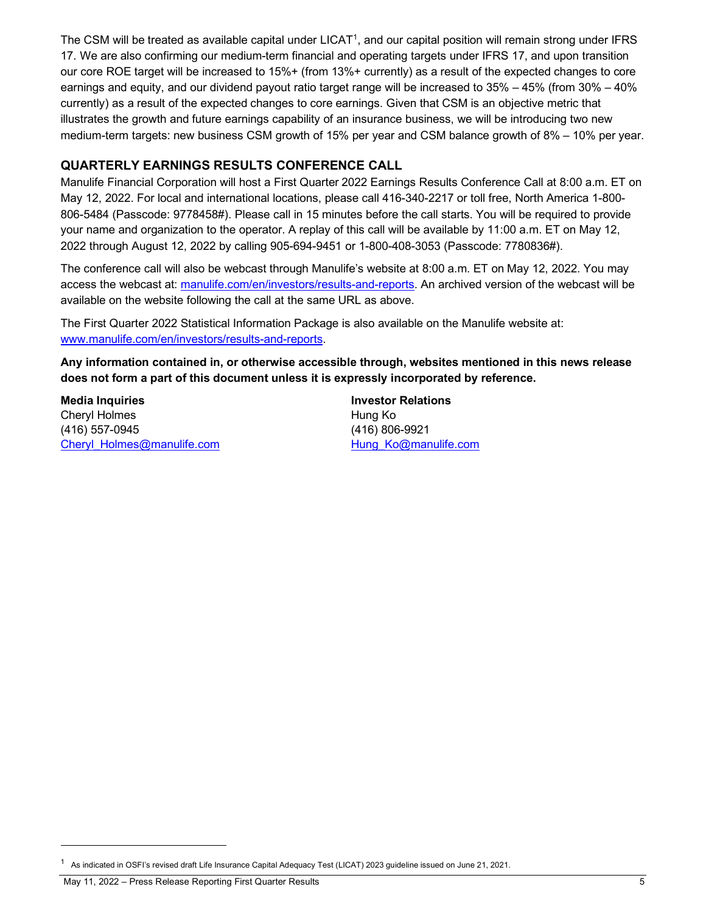The CSM will be treated as available capital under LICAT<sup>1</sup>, and our capital position will remain strong under IFRS 17. We are also confirming our medium-term financial and operating targets under IFRS 17, and upon transition our core ROE target will be increased to 15%+ (from 13%+ currently) as a result of the expected changes to core earnings and equity, and our dividend payout ratio target range will be increased to 35% – 45% (from 30% – 40% currently) as a result of the expected changes to core earnings. Given that CSM is an objective metric that illustrates the growth and future earnings capability of an insurance business, we will be introducing two new medium-term targets: new business CSM growth of 15% per year and CSM balance growth of 8% – 10% per year.

### **QUARTERLY EARNINGS RESULTS CONFERENCE CALL**

Manulife Financial Corporation will host a First Quarter 2022 Earnings Results Conference Call at 8:00 a.m. ET on May 12, 2022. For local and international locations, please call 416-340-2217 or toll free, North America 1-800- 806-5484 (Passcode: 9778458#). Please call in 15 minutes before the call starts. You will be required to provide your name and organization to the operator. A replay of this call will be available by 11:00 a.m. ET on May 12, 2022 through August 12, 2022 by calling 905-694-9451 or 1-800-408-3053 (Passcode: 7780836#).

The conference call will also be webcast through Manulife's website at 8:00 a.m. ET on May 12, 2022. You may access the webcast at: [manulife.com/en/investors/results-and-reports.](https://www.manulife.com/en/investors/results-and-reports.html) An archived version of the webcast will be available on the website following the call at the same URL as above.

The First Quarter 2022 Statistical Information Package is also available on the Manulife website at: [www.manulife.com/en/investors/results-and-reports.](https://www.manulife.com/en/investors/results-and-reports.html)

**Any information contained in, or otherwise accessible through, websites mentioned in this news release does not form a part of this document unless it is expressly incorporated by reference.**

**Media Inquiries Investor Relations** Cheryl Holmes **Hung Ko** (416) 557-0945 (416) 806-9921 [Cheryl\\_Holmes@manulife.com](mailto:sean_pasternak@manulife.com) [Hung\\_Ko@manulife.com](mailto:Hung_Ko@manulife.com)Hung\_Ko@manulife.com

<span id="page-4-0"></span><sup>1</sup> As indicated in OSFI's revised draft Life Insurance Capital Adequacy Test (LICAT) 2023 guideline issued on June 21, 2021.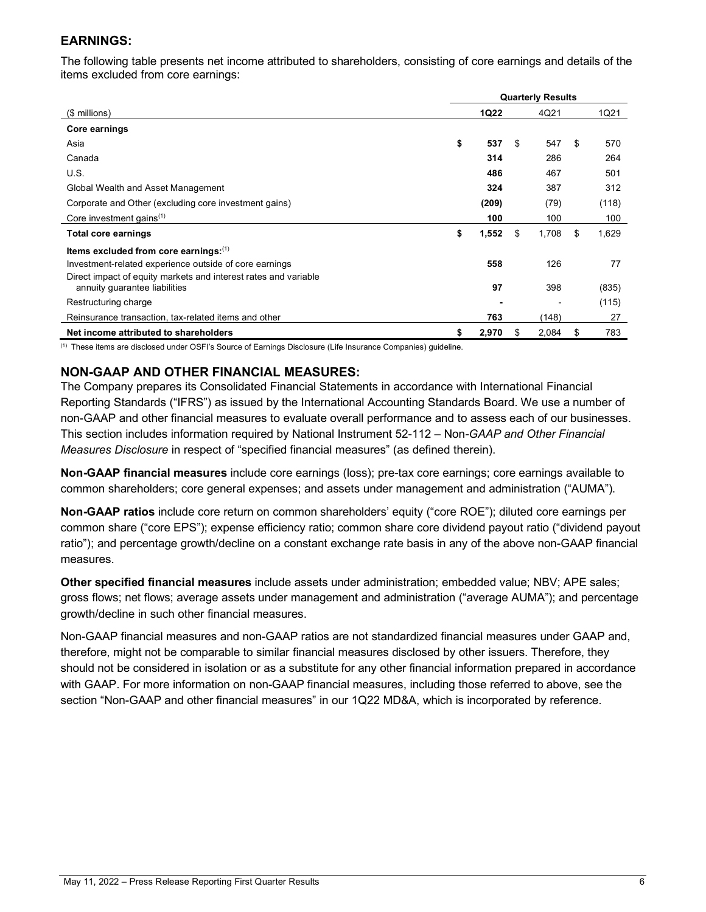# **EARNINGS:**

The following table presents net income attributed to shareholders, consisting of core earnings and details of the items excluded from core earnings:

|                                                                                                  |    | <b>Quarterly Results</b> |    |       |    |       |
|--------------------------------------------------------------------------------------------------|----|--------------------------|----|-------|----|-------|
| (\$ millions)                                                                                    |    | <b>1Q22</b>              |    | 4Q21  |    | 1Q21  |
| Core earnings                                                                                    |    |                          |    |       |    |       |
| Asia                                                                                             | \$ | 537                      | \$ | 547   | \$ | 570   |
| Canada                                                                                           |    | 314                      |    | 286   |    | 264   |
| U.S.                                                                                             |    | 486                      |    | 467   |    | 501   |
| Global Wealth and Asset Management                                                               |    | 324                      |    | 387   |    | 312   |
| Corporate and Other (excluding core investment gains)                                            |    | (209)                    |    | (79)  |    | (118) |
| Core investment gains <sup>(1)</sup>                                                             |    | 100                      |    | 100   |    | 100   |
| Total core earnings                                                                              | \$ | 1,552                    | \$ | 1,708 | \$ | 1,629 |
| Items excluded from core earnings: $(1)$                                                         |    |                          |    |       |    |       |
| Investment-related experience outside of core earnings                                           |    | 558                      |    | 126   |    | 77    |
| Direct impact of equity markets and interest rates and variable<br>annuity guarantee liabilities |    | 97                       |    | 398   |    | (835) |
| Restructuring charge                                                                             |    |                          |    |       |    | (115) |
| Reinsurance transaction, tax-related items and other                                             |    | 763                      |    | (148) |    | 27    |
| Net income attributed to shareholders                                                            | \$ | 2,970                    | S  | 2,084 | \$ | 783   |

(1) These items are disclosed under OSFI's Source of Earnings Disclosure (Life Insurance Companies) guideline.

#### **NON-GAAP AND OTHER FINANCIAL MEASURES:**

The Company prepares its Consolidated Financial Statements in accordance with International Financial Reporting Standards ("IFRS") as issued by the International Accounting Standards Board. We use a number of non-GAAP and other financial measures to evaluate overall performance and to assess each of our businesses. This section includes information required by National Instrument 52-112 – Non*-GAAP and Other Financial Measures Disclosure* in respect of "specified financial measures" (as defined therein).

**Non-GAAP financial measures** include core earnings (loss); pre-tax core earnings; core earnings available to common shareholders; core general expenses; and assets under management and administration ("AUMA").

**Non-GAAP ratios** include core return on common shareholders' equity ("core ROE"); diluted core earnings per common share ("core EPS"); expense efficiency ratio; common share core dividend payout ratio ("dividend payout ratio"); and percentage growth/decline on a constant exchange rate basis in any of the above non-GAAP financial measures.

**Other specified financial measures** include assets under administration; embedded value; NBV; APE sales; gross flows; net flows; average assets under management and administration ("average AUMA"); and percentage growth/decline in such other financial measures.

Non-GAAP financial measures and non-GAAP ratios are not standardized financial measures under GAAP and, therefore, might not be comparable to similar financial measures disclosed by other issuers. Therefore, they should not be considered in isolation or as a substitute for any other financial information prepared in accordance with GAAP. For more information on non-GAAP financial measures, including those referred to above, see the section "Non-GAAP and other financial measures" in our 1Q22 MD&A, which is incorporated by reference.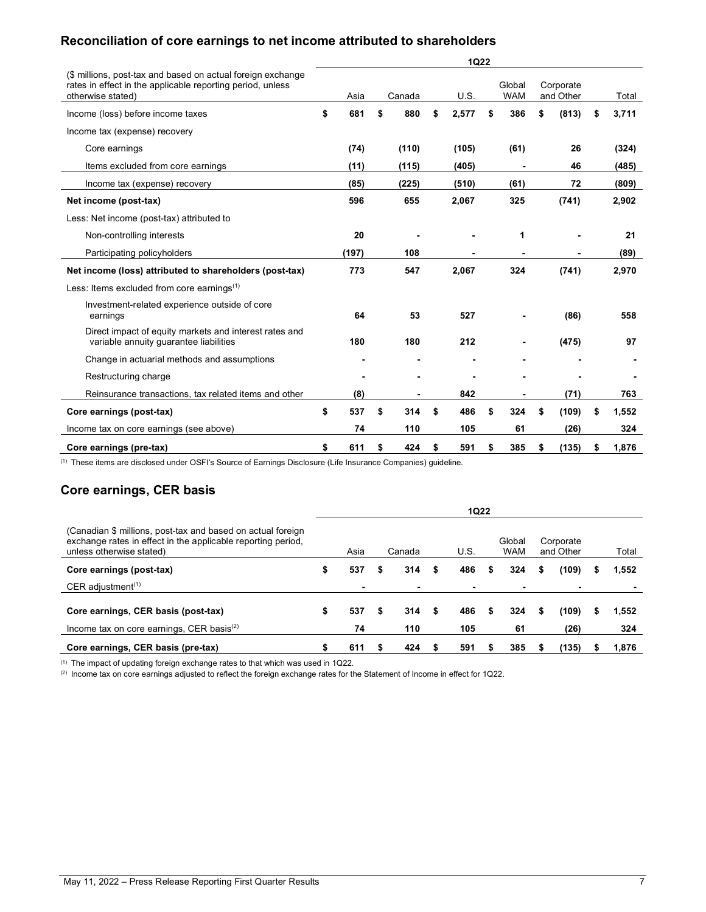# **Reconciliation of core earnings to net income attributed to shareholders**

|                                                                                                                                                | <b>1Q22</b> |       |    |        |    |       |    |                      |    |                        |    |       |  |
|------------------------------------------------------------------------------------------------------------------------------------------------|-------------|-------|----|--------|----|-------|----|----------------------|----|------------------------|----|-------|--|
| (\$ millions, post-tax and based on actual foreign exchange<br>rates in effect in the applicable reporting period, unless<br>otherwise stated) |             | Asia  |    | Canada |    | U.S.  |    | Global<br><b>WAM</b> |    | Corporate<br>and Other |    | Total |  |
| Income (loss) before income taxes                                                                                                              | \$          | 681   | \$ | 880    | \$ | 2,577 | \$ | 386                  | \$ | (813)                  | \$ | 3,711 |  |
| Income tax (expense) recovery                                                                                                                  |             |       |    |        |    |       |    |                      |    |                        |    |       |  |
| Core earnings                                                                                                                                  |             | (74)  |    | (110)  |    | (105) |    | (61)                 |    | 26                     |    | (324) |  |
| Items excluded from core earnings                                                                                                              |             | (11)  |    | (115)  |    | (405) |    | ä,                   |    | 46                     |    | (485) |  |
| Income tax (expense) recovery                                                                                                                  |             | (85)  |    | (225)  |    | (510) |    | (61)                 |    | 72                     |    | (809) |  |
| Net income (post-tax)                                                                                                                          |             | 596   |    | 655    |    | 2,067 |    | 325                  |    | (741)                  |    | 2,902 |  |
| Less: Net income (post-tax) attributed to                                                                                                      |             |       |    |        |    |       |    |                      |    |                        |    |       |  |
| Non-controlling interests                                                                                                                      |             | 20    |    |        |    |       |    | 1                    |    |                        |    | 21    |  |
| Participating policyholders                                                                                                                    |             | (197) |    | 108    |    |       |    |                      |    |                        |    | (89)  |  |
| Net income (loss) attributed to shareholders (post-tax)                                                                                        |             | 773   |    | 547    |    | 2,067 |    | 324                  |    | (741)                  |    | 2,970 |  |
| Less: Items excluded from core earnings <sup>(1)</sup>                                                                                         |             |       |    |        |    |       |    |                      |    |                        |    |       |  |
| Investment-related experience outside of core<br>earnings                                                                                      |             | 64    |    | 53     |    | 527   |    |                      |    | (86)                   |    | 558   |  |
| Direct impact of equity markets and interest rates and<br>variable annuity quarantee liabilities                                               |             | 180   |    | 180    |    | 212   |    | ۰                    |    | (475)                  |    | 97    |  |
| Change in actuarial methods and assumptions                                                                                                    |             |       |    |        |    |       |    |                      |    |                        |    |       |  |
| Restructuring charge                                                                                                                           |             |       |    |        |    |       |    |                      |    |                        |    |       |  |
| Reinsurance transactions, tax related items and other                                                                                          |             | (8)   |    |        |    | 842   |    | ۰                    |    | (71)                   |    | 763   |  |
| Core earnings (post-tax)                                                                                                                       | \$          | 537   | \$ | 314    | \$ | 486   | \$ | 324                  | \$ | (109)                  | \$ | 1,552 |  |
| Income tax on core earnings (see above)                                                                                                        |             | 74    |    | 110    |    | 105   |    | 61                   |    | (26)                   |    | 324   |  |
| Core earnings (pre-tax)                                                                                                                        | \$          | 611   | \$ | 424    | \$ | 591   | \$ | 385                  | \$ | (135)                  | s  | 1,876 |  |

(1) These items are disclosed under OSFI's Source of Earnings Disclosure (Life Insurance Companies) guideline.

# **Core earnings, CER basis**

|                                                                                                                                                         |   |           |   |            |   | 1Q22       |   |                      |   |                        |              |
|---------------------------------------------------------------------------------------------------------------------------------------------------------|---|-----------|---|------------|---|------------|---|----------------------|---|------------------------|--------------|
| (Canadian \$ millions, post-tax and based on actual foreign<br>exchange rates in effect in the applicable reporting period,<br>unless otherwise stated) |   | Asia      |   | Canada     |   | U.S.       |   | Global<br><b>WAM</b> |   | Corporate<br>and Other | Total        |
| Core earnings (post-tax)                                                                                                                                | S | 537       | S | 314        | S | 486        | S | 324                  | S | (109)                  | 1.552        |
| CER adjustment <sup><math>(1)</math></sup>                                                                                                              |   |           |   |            |   |            |   | ۰                    |   |                        |              |
| Core earnings, CER basis (post-tax)<br>Income tax on core earnings, CER basis $(2)$                                                                     |   | 537<br>74 | S | 314<br>110 | S | 486<br>105 | S | 324<br>61            |   | (109)<br>(26)          | 1,552<br>324 |
| Core earnings, CER basis (pre-tax)                                                                                                                      |   | 611       |   | 424        |   | 591        |   | 385                  |   | (135)                  | 1.876        |

 $^{\left(1\right)}$  The impact of updating foreign exchange rates to that which was used in 1Q22.

 $^{(2)}$  Income tax on core earnings adjusted to reflect the foreign exchange rates for the Statement of Income in effect for 1Q22.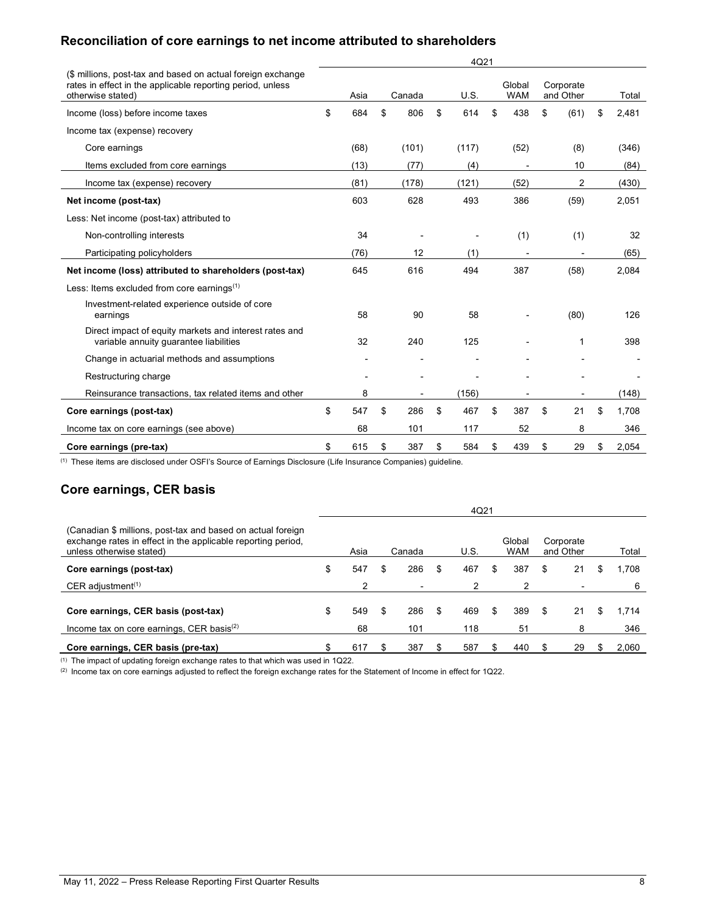## **Reconciliation of core earnings to net income attributed to shareholders**

|                                                                                                                           | 4Q21 |      |    |        |    |       |    |            |    |                |    |       |
|---------------------------------------------------------------------------------------------------------------------------|------|------|----|--------|----|-------|----|------------|----|----------------|----|-------|
| (\$ millions, post-tax and based on actual foreign exchange<br>rates in effect in the applicable reporting period, unless |      |      |    |        |    |       |    | Global     |    | Corporate      |    |       |
| otherwise stated)                                                                                                         |      | Asia |    | Canada |    | U.S.  |    | <b>WAM</b> |    | and Other      |    | Total |
| Income (loss) before income taxes                                                                                         | \$   | 684  | \$ | 806    | \$ | 614   | \$ | 438        | \$ | (61)           | \$ | 2,481 |
| Income tax (expense) recovery                                                                                             |      |      |    |        |    |       |    |            |    |                |    |       |
| Core earnings                                                                                                             |      | (68) |    | (101)  |    | (117) |    | (52)       |    | (8)            |    | (346) |
| Items excluded from core earnings                                                                                         |      | (13) |    | (77)   |    | (4)   |    |            |    | 10             |    | (84)  |
| Income tax (expense) recovery                                                                                             |      | (81) |    | (178)  |    | (121) |    | (52)       |    | $\overline{2}$ |    | (430) |
| Net income (post-tax)                                                                                                     |      | 603  |    | 628    |    | 493   |    | 386        |    | (59)           |    | 2,051 |
| Less: Net income (post-tax) attributed to                                                                                 |      |      |    |        |    |       |    |            |    |                |    |       |
| Non-controlling interests                                                                                                 |      | 34   |    |        |    |       |    | (1)        |    | (1)            |    | 32    |
| Participating policyholders                                                                                               |      | (76) |    | 12     |    | (1)   |    |            |    |                |    | (65)  |
| Net income (loss) attributed to shareholders (post-tax)                                                                   |      | 645  |    | 616    |    | 494   |    | 387        |    | (58)           |    | 2,084 |
| Less: Items excluded from core earnings <sup>(1)</sup>                                                                    |      |      |    |        |    |       |    |            |    |                |    |       |
| Investment-related experience outside of core<br>earnings                                                                 |      | 58   |    | 90     |    | 58    |    |            |    | (80)           |    | 126   |
| Direct impact of equity markets and interest rates and<br>variable annuity guarantee liabilities                          |      | 32   |    | 240    |    | 125   |    |            |    | 1              |    | 398   |
| Change in actuarial methods and assumptions                                                                               |      |      |    |        |    |       |    |            |    |                |    |       |
| Restructuring charge                                                                                                      |      |      |    |        |    |       |    |            |    |                |    |       |
| Reinsurance transactions, tax related items and other                                                                     |      | 8    |    |        |    | (156) |    |            |    |                |    | (148) |
| Core earnings (post-tax)                                                                                                  | \$   | 547  | \$ | 286    | \$ | 467   | \$ | 387        | \$ | 21             | \$ | 1.708 |
| Income tax on core earnings (see above)                                                                                   |      | 68   |    | 101    |    | 117   |    | 52         |    | 8              |    | 346   |
| Core earnings (pre-tax)                                                                                                   | \$   | 615  | \$ | 387    | \$ | 584   | \$ | 439        | \$ | 29             | \$ | 2,054 |

(1) These items are disclosed under OSFI's Source of Earnings Disclosure (Life Insurance Companies) guideline.

# **Core earnings, CER basis**

|                                                                                                                                                         | 4Q21 |           |    |                          |    |            |    |                      |    |                        |   |              |  |
|---------------------------------------------------------------------------------------------------------------------------------------------------------|------|-----------|----|--------------------------|----|------------|----|----------------------|----|------------------------|---|--------------|--|
| (Canadian \$ millions, post-tax and based on actual foreign<br>exchange rates in effect in the applicable reporting period,<br>unless otherwise stated) |      | Asia      |    | Canada                   |    | U.S.       |    | Global<br><b>WAM</b> |    | Corporate<br>and Other |   | Total        |  |
| Core earnings (post-tax)                                                                                                                                | \$   | 547       | \$ | 286                      | \$ | 467        | \$ | 387                  | \$ | 21                     | S | 1,708        |  |
| CER adjustment <sup><math>(1)</math></sup>                                                                                                              |      |           |    | $\overline{\phantom{a}}$ |    |            |    |                      |    |                        |   | 6            |  |
| Core earnings, CER basis (post-tax)<br>Income tax on core earnings, CER basis $(2)$                                                                     | \$   | 549<br>68 | \$ | 286<br>101               | \$ | 469<br>118 | \$ | 389<br>51            | \$ | 21<br>8                | S | 1.714<br>346 |  |
| Core earnings, CER basis (pre-tax)                                                                                                                      |      | 617       |    | 387                      |    | 587        |    | 440                  |    | 29                     |   | 2,060        |  |

(1) The impact of updating foreign exchange rates to that which was used in 1Q22.

(2) Income tax on core earnings adjusted to reflect the foreign exchange rates for the Statement of Income in effect for 1Q22.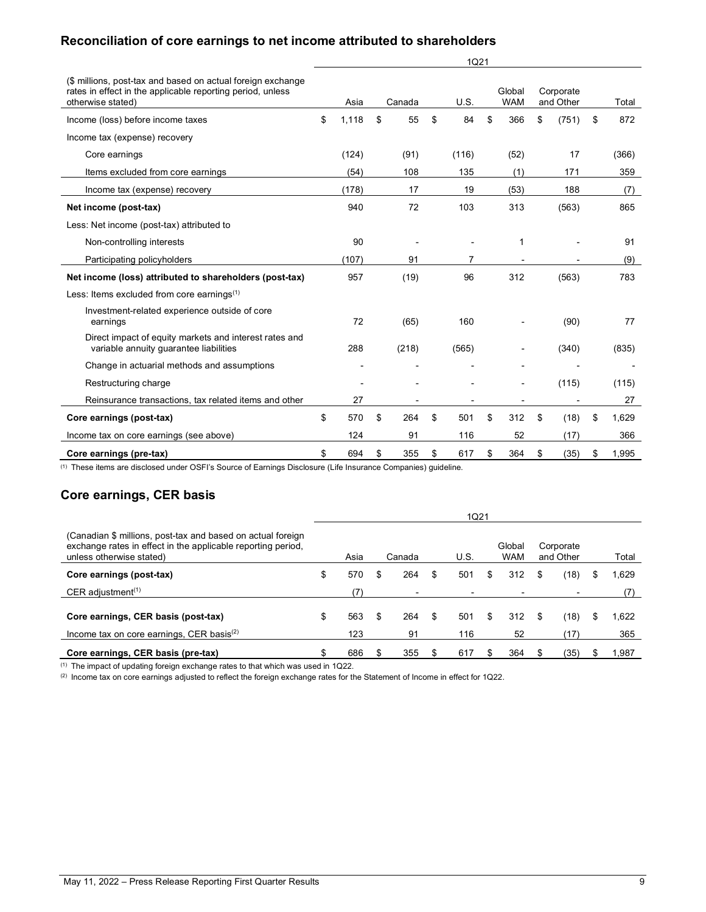# **Reconciliation of core earnings to net income attributed to shareholders**

|                                                                                                                                                | 1Q21 |       |    |        |    |       |    |                          |    |                        |    |       |  |
|------------------------------------------------------------------------------------------------------------------------------------------------|------|-------|----|--------|----|-------|----|--------------------------|----|------------------------|----|-------|--|
| (\$ millions, post-tax and based on actual foreign exchange<br>rates in effect in the applicable reporting period, unless<br>otherwise stated) |      | Asia  |    | Canada |    | U.S.  |    | Global<br><b>WAM</b>     |    | Corporate<br>and Other |    | Total |  |
| Income (loss) before income taxes                                                                                                              | \$   | 1,118 | \$ | 55     | \$ | 84    | \$ | 366                      | \$ | (751)                  | \$ | 872   |  |
| Income tax (expense) recovery                                                                                                                  |      |       |    |        |    |       |    |                          |    |                        |    |       |  |
| Core earnings                                                                                                                                  |      | (124) |    | (91)   |    | (116) |    | (52)                     |    | 17                     |    | (366) |  |
| Items excluded from core earnings                                                                                                              |      | (54)  |    | 108    |    | 135   |    | (1)                      |    | 171                    |    | 359   |  |
| Income tax (expense) recovery                                                                                                                  |      | (178) |    | 17     |    | 19    |    | (53)                     |    | 188                    |    | (7)   |  |
| Net income (post-tax)                                                                                                                          |      | 940   |    | 72     |    | 103   |    | 313                      |    | (563)                  |    | 865   |  |
| Less: Net income (post-tax) attributed to                                                                                                      |      |       |    |        |    |       |    |                          |    |                        |    |       |  |
| Non-controlling interests                                                                                                                      |      | 90    |    |        |    |       |    | 1                        |    |                        |    | 91    |  |
| Participating policyholders                                                                                                                    |      | (107) |    | 91     |    | 7     |    |                          |    |                        |    | (9)   |  |
| Net income (loss) attributed to shareholders (post-tax)                                                                                        |      | 957   |    | (19)   |    | 96    |    | 312                      |    | (563)                  |    | 783   |  |
| Less: Items excluded from core earnings $(1)$                                                                                                  |      |       |    |        |    |       |    |                          |    |                        |    |       |  |
| Investment-related experience outside of core<br>earnings                                                                                      |      | 72    |    | (65)   |    | 160   |    |                          |    | (90)                   |    | 77    |  |
| Direct impact of equity markets and interest rates and<br>variable annuity quarantee liabilities                                               |      | 288   |    | (218)  |    | (565) |    | $\overline{a}$           |    | (340)                  |    | (835) |  |
| Change in actuarial methods and assumptions                                                                                                    |      |       |    |        |    |       |    |                          |    |                        |    |       |  |
| Restructuring charge                                                                                                                           |      |       |    |        |    |       |    | $\overline{\phantom{a}}$ |    | (115)                  |    | (115) |  |
| Reinsurance transactions, tax related items and other                                                                                          |      | 27    |    |        |    |       |    |                          |    |                        |    | 27    |  |
| Core earnings (post-tax)                                                                                                                       | \$   | 570   | \$ | 264    | \$ | 501   | \$ | 312                      | \$ | (18)                   | \$ | 1,629 |  |
| Income tax on core earnings (see above)                                                                                                        |      | 124   |    | 91     |    | 116   |    | 52                       |    | (17)                   |    | 366   |  |
| Core earnings (pre-tax)                                                                                                                        | \$   | 694   | \$ | 355    | \$ | 617   | \$ | 364                      | \$ | (35)                   | \$ | 1,995 |  |

(1) These items are disclosed under OSFI's Source of Earnings Disclosure (Life Insurance Companies) guideline.

### **Core earnings, CER basis**

|                                                                                                                                                         |                  |   |           | <b>1Q21</b>      |     |                      |    |                        |    |              |
|---------------------------------------------------------------------------------------------------------------------------------------------------------|------------------|---|-----------|------------------|-----|----------------------|----|------------------------|----|--------------|
| (Canadian \$ millions, post-tax and based on actual foreign<br>exchange rates in effect in the applicable reporting period,<br>unless otherwise stated) | Asia             |   | Canada    | U.S.             |     | Global<br><b>WAM</b> |    | Corporate<br>and Other |    | Total        |
| Core earnings (post-tax)                                                                                                                                | \$<br>570        |   | 264       | \$<br>501        | S.  | 312                  | S  | (18)                   | \$ | 1.629        |
| CER adjustment <sup><math>(1)</math></sup>                                                                                                              | 71               |   |           |                  |     |                      |    |                        |    |              |
| Core earnings, CER basis (post-tax)<br>Income tax on core earnings, CER basis $(2)$                                                                     | \$<br>563<br>123 | S | 264<br>91 | \$<br>501<br>116 | \$. | 312<br>52            | \$ | (18)<br>'17)           | S  | 1.622<br>365 |
| Core earnings, CER basis (pre-tax)                                                                                                                      | 686              |   | 355       | 617              |     | 364                  |    | (35)                   |    | 1,987        |

(1) The impact of updating foreign exchange rates to that which was used in 1Q22.

(2) Income tax on core earnings adjusted to reflect the foreign exchange rates for the Statement of Income in effect for 1Q22.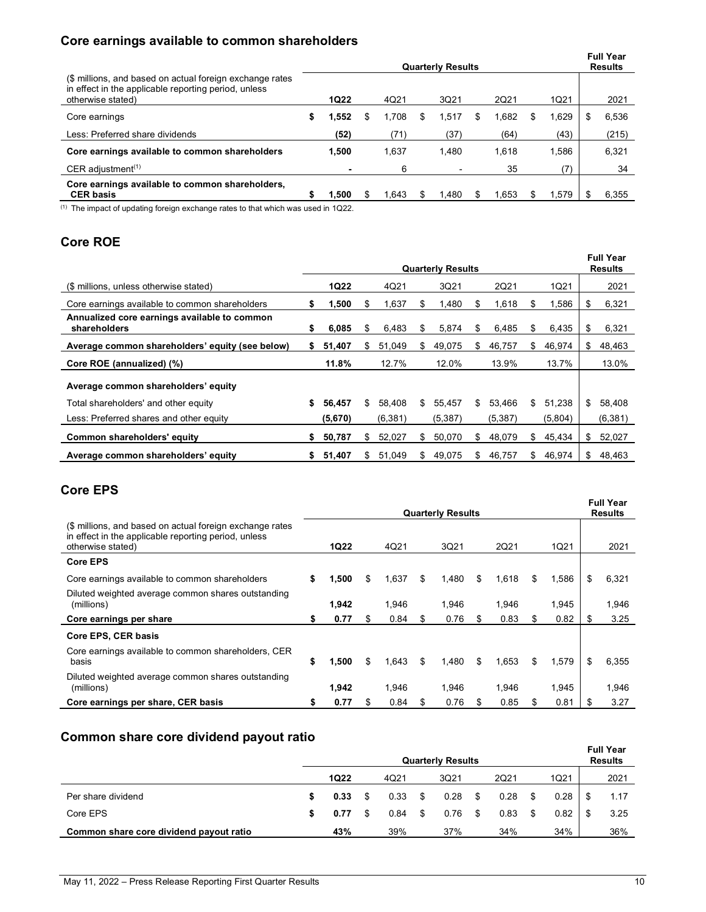# **Core earnings available to common shareholders**

|                                                                                                                                       | <b>Quarterly Results</b> |             |  |       |   |       |     |       |    |       |   | <b>Full Year</b><br><b>Results</b> |
|---------------------------------------------------------------------------------------------------------------------------------------|--------------------------|-------------|--|-------|---|-------|-----|-------|----|-------|---|------------------------------------|
| (\$ millions, and based on actual foreign exchange rates<br>in effect in the applicable reporting period, unless<br>otherwise stated) |                          | <b>1Q22</b> |  | 4Q21  |   | 3Q21  |     | 2Q21  |    | 1Q21  |   | 2021                               |
| Core earnings                                                                                                                         | \$                       | 1,552       |  | 1.708 | S | 1.517 | S   | 1.682 |    | 1,629 | S | 6,536                              |
| Less: Preferred share dividends                                                                                                       |                          | (52)        |  | (71)  |   | (37)  |     | (64)  |    | (43)  |   | (215)                              |
| Core earnings available to common shareholders                                                                                        |                          | 1.500       |  | 1.637 |   | 1.480 |     | 1.618 |    | 1,586 |   | 6,321                              |
| CER adjustment <sup><math>(1)</math></sup>                                                                                            |                          |             |  | 6     |   |       |     | 35    |    | (7)   |   | 34                                 |
| Core earnings available to common shareholders,<br><b>CER basis</b>                                                                   | S                        | 1.500       |  | .643  |   | 1.480 | \$. | 1.653 | S. | 1.579 |   | 6,355                              |

(1) The impact of updating foreign exchange rates to that which was used in 1Q22.

# **Core ROE**

|                                                              |    |             | <b>Full Year</b><br><b>Results</b> |         |     |          |     |          |    |         |              |
|--------------------------------------------------------------|----|-------------|------------------------------------|---------|-----|----------|-----|----------|----|---------|--------------|
| (\$ millions, unless otherwise stated)                       |    | <b>1Q22</b> |                                    | 4Q21    |     | 3Q21     |     | 2Q21     |    | 1Q21    | 2021         |
| Core earnings available to common shareholders               | \$ | 1,500       | S                                  | 1,637   | S   | 1,480    | æ.  | 1,618    | S  | 1,586   | \$<br>6,321  |
| Annualized core earnings available to common<br>shareholders | \$ | 6,085       | \$                                 | 6,483   | S   | 5,874    | S   | 6,485    | \$ | 6,435   | \$<br>6,321  |
| Average common shareholders' equity (see below)              | s. | 51.407      | S                                  | 51.049  | S.  | 49,075   | \$. | 46.757   | \$ | 46.974  | \$<br>48,463 |
| Core ROE (annualized) (%)                                    |    | 11.8%       |                                    | 12.7%   |     | 12.0%    |     | 13.9%    |    | 13.7%   | 13.0%        |
| Average common shareholders' equity                          |    |             |                                    |         |     |          |     |          |    |         |              |
| Total shareholders' and other equity                         | \$ | 56,457      | \$                                 | 58.408  | \$  | 55,457   | \$  | 53.466   | \$ | 51.238  | \$<br>58,408 |
| Less: Preferred shares and other equity                      |    | (5,670)     |                                    | (6,381) |     | (5, 387) |     | (5, 387) |    | (5,804) | (6, 381)     |
| Common shareholders' equity                                  | S. | 50,787      | \$                                 | 52.027  | S.  | 50,070   | \$  | 48.079   | \$ | 45,434  | \$<br>52,027 |
| Average common shareholders' equity                          | \$ | 51,407      | \$                                 | 51,049  | \$. | 49,075   | \$  | 46,757   | \$ | 46,974  | \$<br>48,463 |

# **Core EPS**

|                                                                                                                                       |    |             |    | <b>Full Year</b><br><b>Results</b> |     |       |    |       |    |       |     |       |
|---------------------------------------------------------------------------------------------------------------------------------------|----|-------------|----|------------------------------------|-----|-------|----|-------|----|-------|-----|-------|
| (\$ millions, and based on actual foreign exchange rates<br>in effect in the applicable reporting period, unless<br>otherwise stated) |    | <b>1Q22</b> |    | 4Q21                               |     | 3Q21  |    | 2Q21  |    | 1Q21  |     | 2021  |
| <b>Core EPS</b>                                                                                                                       |    |             |    |                                    |     |       |    |       |    |       |     |       |
| Core earnings available to common shareholders                                                                                        | S  | 1,500       | \$ | 1,637                              | \$. | 1,480 | \$ | 1,618 | \$ | 1,586 | S   | 6,321 |
| Diluted weighted average common shares outstanding<br>(millions)                                                                      |    | 1,942       |    | 1,946                              |     | 1.946 |    | 1.946 |    | 1,945 |     | 1,946 |
| Core earnings per share                                                                                                               | S  | 0.77        | S  | 0.84                               | S   | 0.76  | S  | 0.83  | S  | 0.82  | S   | 3.25  |
| Core EPS, CER basis                                                                                                                   |    |             |    |                                    |     |       |    |       |    |       |     |       |
| Core earnings available to common shareholders, CER<br>basis                                                                          | \$ | 1,500       | \$ | 1,643                              | \$  | 1,480 | \$ | 1,653 | \$ | 1,579 | -\$ | 6,355 |
| Diluted weighted average common shares outstanding<br>(millions)                                                                      |    | 1,942       |    | 1.946                              |     | 1.946 |    | 1,946 |    | 1,945 |     | 1,946 |
| Core earnings per share, CER basis                                                                                                    |    | 0.77        | S  | 0.84                               | S   | 0.76  | S. | 0.85  | S  | 0.81  | -SS | 3.27  |

# **Common share core dividend payout ratio**

|                                         |    |             | <b>Full Year</b><br><b>Results</b> |      |            |      |      |     |      |      |
|-----------------------------------------|----|-------------|------------------------------------|------|------------|------|------|-----|------|------|
|                                         |    | <b>1Q22</b> |                                    | 4Q21 | 3Q21       |      | 2Q21 |     | 1Q21 | 2021 |
| Per share dividend                      | S  | 0.33        |                                    | 0.33 | \$<br>0.28 | - \$ | 0.28 | \$. | 0.28 | 1.17 |
| Core EPS                                | S. | 0.77        | \$.                                | 0.84 | \$<br>0.76 | - \$ | 0.83 | \$  | 0.82 | 3.25 |
| Common share core dividend payout ratio |    | 43%         |                                    | 39%  | 37%        |      | 34%  |     | 34%  | 36%  |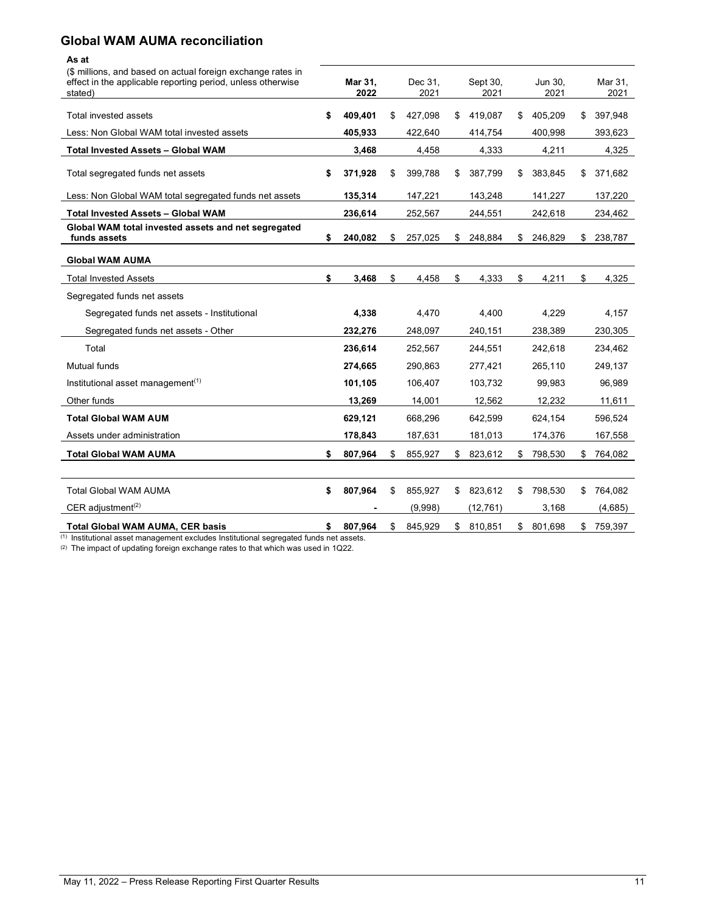### **Global WAM AUMA reconciliation**

#### **As at**

| (\$ millions, and based on actual foreign exchange rates in<br>effect in the applicable reporting period, unless otherwise<br>stated) | Mar 31,<br>2022 | Dec 31.<br>2021 | Sept 30,<br>2021 | Jun 30,<br>2021 | Mar 31,<br>2021 |
|---------------------------------------------------------------------------------------------------------------------------------------|-----------------|-----------------|------------------|-----------------|-----------------|
| Total invested assets                                                                                                                 | \$<br>409,401   | \$<br>427,098   | \$<br>419,087    | \$<br>405,209   | \$<br>397,948   |
| Less: Non Global WAM total invested assets                                                                                            | 405,933         | 422,640         | 414,754          | 400,998         | 393,623         |
| <b>Total Invested Assets - Global WAM</b>                                                                                             | 3,468           | 4,458           | 4,333            | 4,211           | 4,325           |
| Total segregated funds net assets                                                                                                     | \$<br>371,928   | \$<br>399,788   | \$<br>387,799    | \$<br>383,845   | \$<br>371,682   |
| Less: Non Global WAM total segregated funds net assets                                                                                | 135,314         | 147,221         | 143,248          | 141,227         | 137,220         |
| <b>Total Invested Assets - Global WAM</b>                                                                                             | 236,614         | 252,567         | 244,551          | 242,618         | 234,462         |
| Global WAM total invested assets and net segregated<br>funds assets                                                                   | \$<br>240,082   | \$<br>257,025   | \$<br>248,884    | \$<br>246,829   | \$<br>238,787   |
| <b>Global WAM AUMA</b>                                                                                                                |                 |                 |                  |                 |                 |
| Total Invested Assets                                                                                                                 | \$<br>3,468     | \$<br>4,458     | \$<br>4,333      | \$<br>4,211     | \$<br>4,325     |
| Segregated funds net assets                                                                                                           |                 |                 |                  |                 |                 |
| Segregated funds net assets - Institutional                                                                                           | 4,338           | 4,470           | 4,400            | 4,229           | 4,157           |
| Segregated funds net assets - Other                                                                                                   | 232,276         | 248,097         | 240,151          | 238,389         | 230,305         |
| Total                                                                                                                                 | 236,614         | 252,567         | 244,551          | 242,618         | 234,462         |
| Mutual funds                                                                                                                          | 274,665         | 290,863         | 277,421          | 265,110         | 249,137         |
| Institutional asset management $(1)$                                                                                                  | 101,105         | 106,407         | 103,732          | 99,983          | 96,989          |
| Other funds                                                                                                                           | 13,269          | 14,001          | 12,562           | 12,232          | 11,611          |
| <b>Total Global WAM AUM</b>                                                                                                           | 629,121         | 668,296         | 642,599          | 624,154         | 596,524         |
| Assets under administration                                                                                                           | 178,843         | 187,631         | 181,013          | 174,376         | 167,558         |
| <b>Total Global WAM AUMA</b>                                                                                                          | \$<br>807,964   | \$<br>855,927   | \$<br>823,612    | \$<br>798,530   | \$764,082       |
|                                                                                                                                       |                 |                 |                  |                 |                 |
| <b>Total Global WAM AUMA</b>                                                                                                          | \$<br>807,964   | \$<br>855,927   | \$<br>823,612    | \$<br>798,530   | \$<br>764,082   |
| CER adjustment <sup>(2)</sup>                                                                                                         |                 | (9,998)         | (12, 761)        | 3,168           | (4,685)         |
| <b>Total Global WAM AUMA, CER basis</b>                                                                                               | \$<br>807.964   | \$<br>845.929   | \$<br>810,851    | \$<br>801,698   | \$<br>759,397   |

 $^{\text{\tiny{(1)}}}$  Institutional asset management excludes Institutional segregated funds net assets.

(2) The impact of updating foreign exchange rates to that which was used in 1Q22.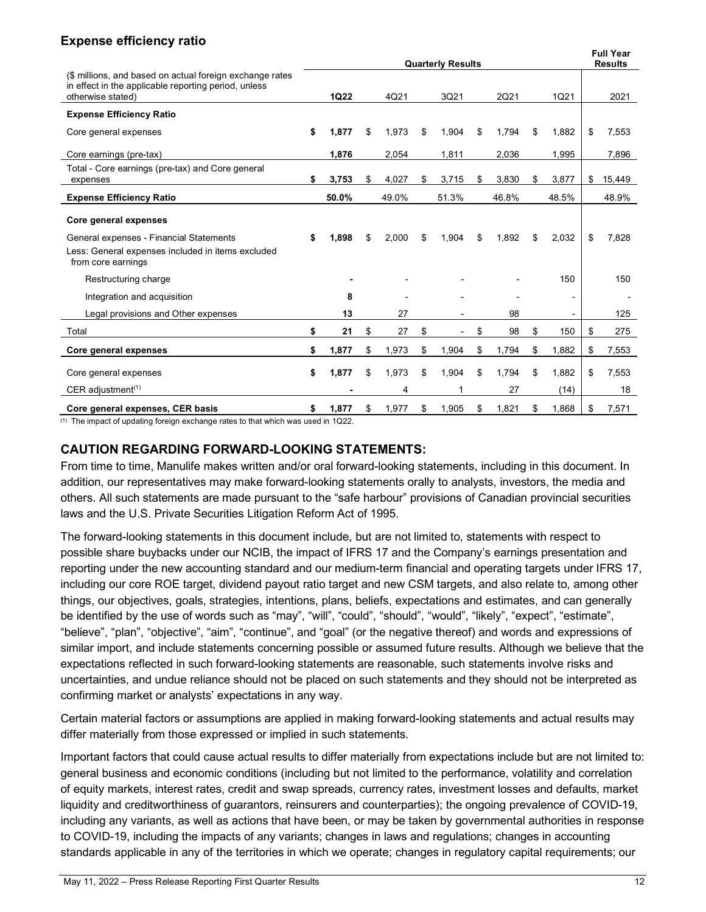# **Expense efficiency ratio**

|                                                                                                                                       | <b>Quarterly Results</b> |             |    |       |    |       |    |       |    |                | <b>Full Year</b><br><b>Results</b> |        |
|---------------------------------------------------------------------------------------------------------------------------------------|--------------------------|-------------|----|-------|----|-------|----|-------|----|----------------|------------------------------------|--------|
| (\$ millions, and based on actual foreign exchange rates<br>in effect in the applicable reporting period, unless<br>otherwise stated) |                          | <b>1Q22</b> |    | 4Q21  |    | 3Q21  |    | 2Q21  |    | 1Q21           |                                    | 2021   |
| <b>Expense Efficiency Ratio</b>                                                                                                       |                          |             |    |       |    |       |    |       |    |                |                                    |        |
| Core general expenses                                                                                                                 | \$                       | 1,877       | \$ | 1,973 | \$ | 1,904 | \$ | 1,794 | \$ | 1,882          | \$                                 | 7,553  |
| Core earnings (pre-tax)                                                                                                               |                          | 1.876       |    | 2,054 |    | 1,811 |    | 2,036 |    | 1,995          |                                    | 7,896  |
| Total - Core earnings (pre-tax) and Core general<br>expenses                                                                          | \$                       | 3,753       | \$ | 4,027 | S  | 3,715 | \$ | 3,830 | \$ | 3,877          | \$                                 | 15,449 |
| <b>Expense Efficiency Ratio</b>                                                                                                       |                          | 50.0%       |    | 49.0% |    | 51.3% |    | 46.8% |    | 48.5%          |                                    | 48.9%  |
| Core general expenses                                                                                                                 |                          |             |    |       |    |       |    |       |    |                |                                    |        |
| General expenses - Financial Statements<br>Less: General expenses included in items excluded<br>from core earnings                    | \$                       | 1,898       | \$ | 2,000 | \$ | 1,904 | \$ | 1.892 | \$ | 2,032          | \$                                 | 7,828  |
| Restructuring charge                                                                                                                  |                          |             |    |       |    |       |    |       |    | 150            |                                    | 150    |
| Integration and acquisition                                                                                                           |                          | 8           |    |       |    |       |    |       |    | $\overline{a}$ |                                    |        |
| Legal provisions and Other expenses                                                                                                   |                          | 13          |    | 27    |    |       |    | 98    |    |                |                                    | 125    |
| Total                                                                                                                                 | \$                       | 21          | \$ | 27    | \$ |       | \$ | 98    | \$ | 150            | \$                                 | 275    |
| Core general expenses                                                                                                                 | \$                       | 1,877       | \$ | 1,973 | \$ | 1,904 | \$ | 1,794 | \$ | 1,882          | \$                                 | 7,553  |
| Core general expenses                                                                                                                 | \$                       | 1,877       | \$ | 1,973 | \$ | 1,904 | \$ | 1,794 | \$ | 1,882          | \$                                 | 7,553  |
| CER adjustment <sup><math>(1)</math></sup>                                                                                            |                          |             |    | 4     |    |       |    | 27    |    | (14)           |                                    | 18     |
| Core general expenses, CER basis                                                                                                      | \$                       | 1,877       | \$ | 1,977 | \$ | 1,905 | \$ | 1,821 | \$ | 1,868          | \$                                 | 7,571  |

(1) The impact of updating foreign exchange rates to that which was used in 1Q22.

# **CAUTION REGARDING FORWARD-LOOKING STATEMENTS:**

From time to time, Manulife makes written and/or oral forward-looking statements, including in this document. In addition, our representatives may make forward-looking statements orally to analysts, investors, the media and others. All such statements are made pursuant to the "safe harbour" provisions of Canadian provincial securities laws and the U.S. Private Securities Litigation Reform Act of 1995.

The forward-looking statements in this document include, but are not limited to, statements with respect to possible share buybacks under our NCIB, the impact of IFRS 17 and the Company's earnings presentation and reporting under the new accounting standard and our medium-term financial and operating targets under IFRS 17, including our core ROE target, dividend payout ratio target and new CSM targets, and also relate to, among other things, our objectives, goals, strategies, intentions, plans, beliefs, expectations and estimates, and can generally be identified by the use of words such as "may", "will", "could", "should", "would", "likely", "expect", "estimate", "believe", "plan", "objective", "aim", "continue", and "goal" (or the negative thereof) and words and expressions of similar import, and include statements concerning possible or assumed future results. Although we believe that the expectations reflected in such forward-looking statements are reasonable, such statements involve risks and uncertainties, and undue reliance should not be placed on such statements and they should not be interpreted as confirming market or analysts' expectations in any way.

Certain material factors or assumptions are applied in making forward-looking statements and actual results may differ materially from those expressed or implied in such statements.

Important factors that could cause actual results to differ materially from expectations include but are not limited to: general business and economic conditions (including but not limited to the performance, volatility and correlation of equity markets, interest rates, credit and swap spreads, currency rates, investment losses and defaults, market liquidity and creditworthiness of guarantors, reinsurers and counterparties); the ongoing prevalence of COVID-19, including any variants, as well as actions that have been, or may be taken by governmental authorities in response to COVID-19, including the impacts of any variants; changes in laws and regulations; changes in accounting standards applicable in any of the territories in which we operate; changes in regulatory capital requirements; our